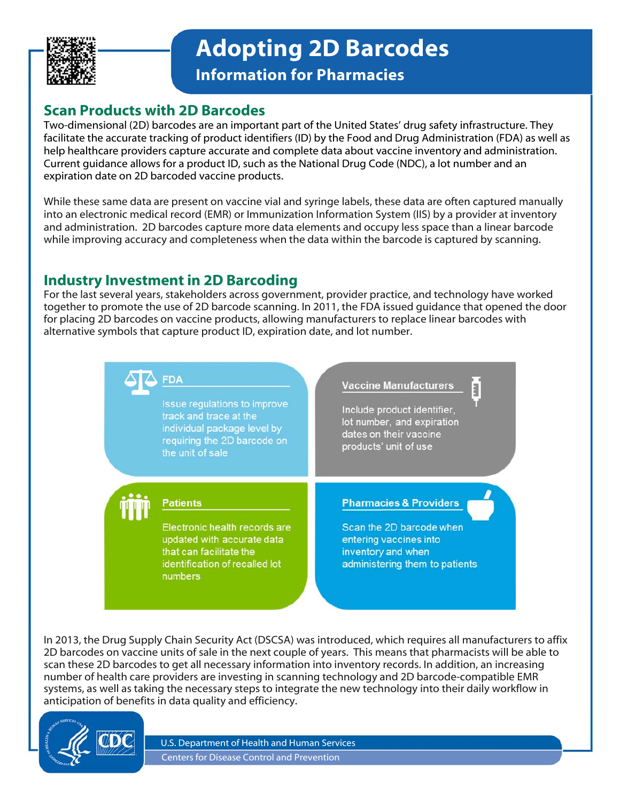

**Adopting 2D Barcodes**

**Information for Pharmacies** 

# **Scan Products with 2D Barcodes**

expiration date on 2D barcoded vaccine products. Two-dimensional (2D) barcodes are an important part of the United States' drug safety infrastructure. They facilitate the accurate tracking of product identifiers (ID) by the Food and Drug Administration (FDA) as well as help healthcare providers capture accurate and complete data about vaccine inventory and administration. Current guidance allows for a product ID, such as the National Drug Code (NDC), a lot number and an

While these same data are present on vaccine vial and syringe labels, these data are often captured manually into an electronic medical record (EMR) or Immunization Information System (IIS) by a provider at inventory and administration. 2D barcodes capture more data elements and occupy less space than a linear barcode while improving accuracy and completeness when the data within the barcode is captured by scanning.

# **Industry Investment in 2D Barcoding**

For the last several years, stakeholders across government, provider practice, and technology have worked together to promote the use of 2D barcode scanning. In 2011, the FDA issued guidance that opened the door for placing 2D barcodes on vaccine products, allowing manufacturers to replace linear barcodes with alternative symbols that capture product ID, expiration date, and lot number.

> **FDA Vaccine Manufacturers** ā Issue regulations to improve Include product identifier, track and trace at the lot number, and expiration individual package level by dates on their vaccine requiring the 2D barcode on products' unit of use the unit of sale **Patients Pharmacies & Providers** Electronic health records are Scan the 2D barcode when updated with accurate data entering vaccines into that can facilitate the inventory and when identification of recalled lot administering them to patients numbers

In 2013, the Drug Supply Chain Security Act (DSCSA) was introduced, which requires all manufacturers to affix 2D barcodes on vaccine units of sale in the next couple of years. This means that pharmacists will be able to scan these 2D barcodes to get all necessary information into inventory records. In addition, an increasing number of health care providers are investing in scanning technology and 2D barcode-compatible EMR systems, as well as taking the necessary steps to integrate the new technology into their daily workflow in anticipation of benefits in data quality and efficiency.



U.S. Department of Health and Human Services Centers for Disease Control and Prevention